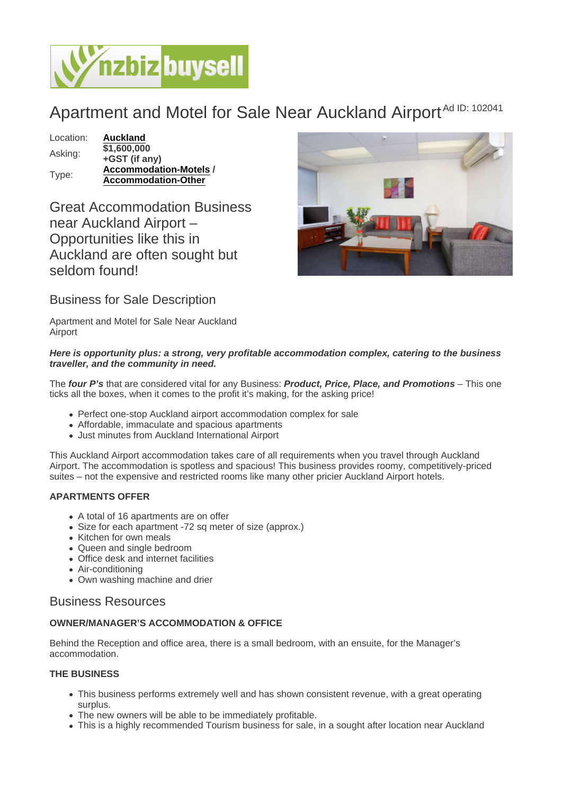# Apartment and Motel for Sale Near Auckland Airport<sup>Ad ID: 102041</sup>

Location: [Auckland](https://www.nzbizbuysell.co.nz/businesses-for-sale/location/Auckland) Asking: \$1,600,000 +GST (if any) Type: [Accommodation-Motels](https://www.nzbizbuysell.co.nz/businesses-for-sale/Motels/New-Zealand) / Accommodation-Other

Great Accommodation Business near Auckland Airport – Opportunities like this in Auckland are often sought but seldom found!

Business for Sale Description

Apartment and Motel for Sale Near Auckland Airport

Here is opportunity plus: a strong, very profitable accommodation complex, catering to the business traveller, and the community in need.

The four P's that are considered vital for any Business: Product, Price, Place, and Promotions – This one ticks all the boxes, when it comes to the profit it's making, for the asking price!

- Perfect one-stop Auckland airport accommodation complex for sale
- Affordable, immaculate and spacious apartments
- Just minutes from Auckland International Airport

This Auckland Airport accommodation takes care of all requirements when you travel through Auckland Airport. The accommodation is spotless and spacious! This business provides roomy, competitively-priced suites – not the expensive and restricted rooms like many other pricier Auckland Airport hotels.

## APARTMENTS OFFER

- A total of 16 apartments are on offer
- Size for each apartment -72 sq meter of size (approx.)
- Kitchen for own meals
- Queen and single bedroom
- Office desk and internet facilities
- Air-conditioning
- Own washing machine and drier

# Business Resources

## OWNER/MANAGER'S ACCOMMODATION & OFFICE

Behind the Reception and office area, there is a small bedroom, with an ensuite, for the Manager's accommodation.

## THE BUSINESS

- This business performs extremely well and has shown consistent revenue, with a great operating surplus.
- The new owners will be able to be immediately profitable.
- This is a highly recommended Tourism business for sale, in a sought after location near Auckland